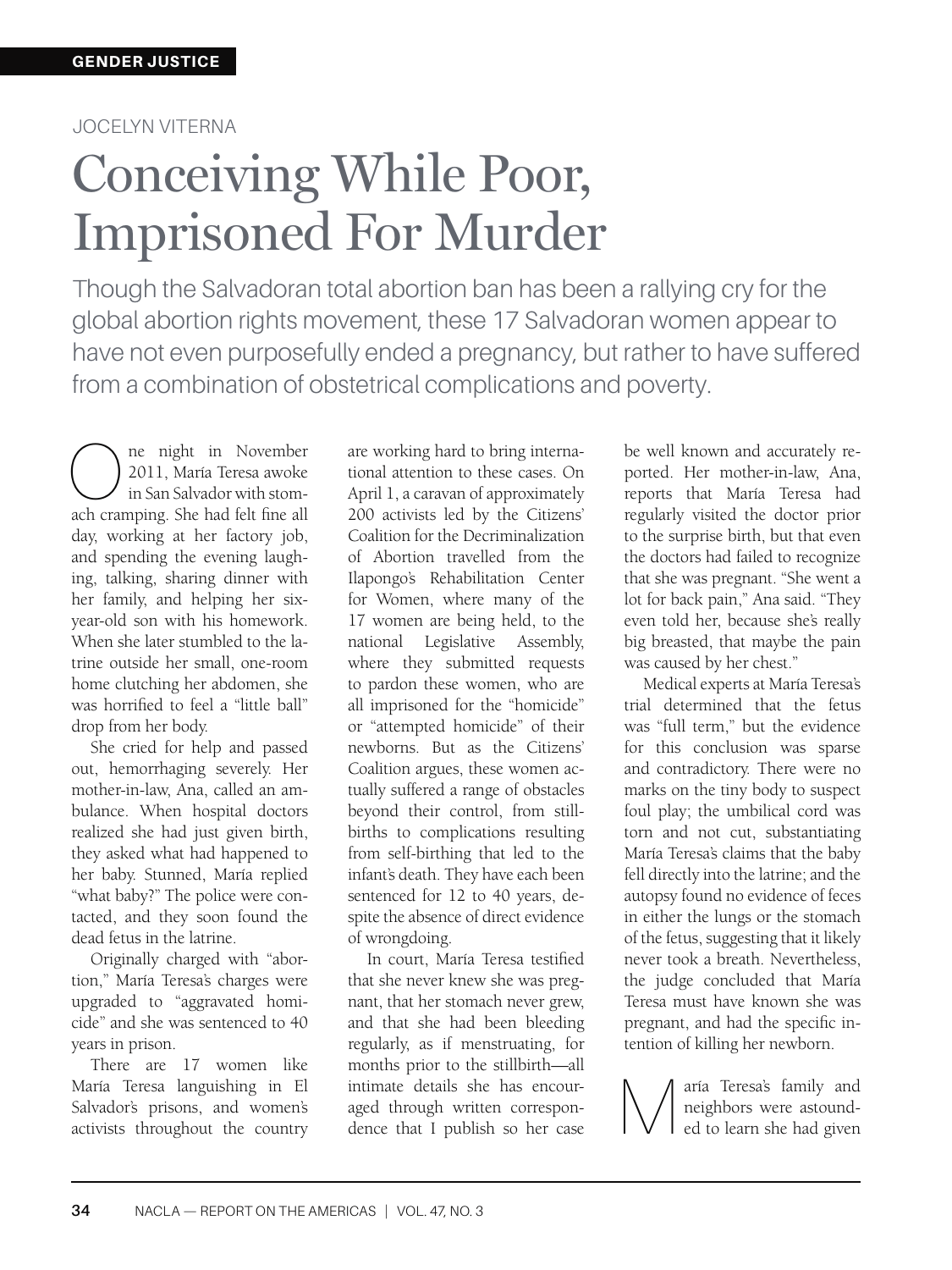## Jocelyn Viterna

## Conceiving While Poor, Imprisoned For Murder

Though the Salvadoran total abortion ban has been a rallying cry for the global abortion rights movement, these 17 Salvadoran women appear to have not even purposefully ended a pregnancy, but rather to have suffered from a combination of obstetrical complications and poverty.

ne night in November 2011, María Teresa awoke in San Salvador with stomach cramping. She had felt fine all day, working at her factory job, and spending the evening laughing, talking, sharing dinner with her family, and helping her sixyear-old son with his homework. When she later stumbled to the latrine outside her small, one-room home clutching her abdomen, she was horrified to feel a "little ball" drop from her body.

She cried for help and passed out, hemorrhaging severely. Her mother-in-law, Ana, called an ambulance. When hospital doctors realized she had just given birth, they asked what had happened to her baby. Stunned, María replied "what baby?" The police were contacted, and they soon found the dead fetus in the latrine.

Originally charged with "abortion," María Teresa's charges were upgraded to "aggravated homicide" and she was sentenced to 40 years in prison.

There are 17 women like María Teresa languishing in El Salvador's prisons, and women's activists throughout the country are working hard to bring international attention to these cases. On April 1, a caravan of approximately 200 activists led by the Citizens' Coalition for the Decriminalization of Abortion travelled from the Ilapongo's Rehabilitation Center for Women, where many of the 17 women are being held, to the national Legislative Assembly, where they submitted requests to pardon these women, who are all imprisoned for the "homicide" or "attempted homicide" of their newborns. But as the Citizens' Coalition argues, these women actually suffered a range of obstacles beyond their control, from stillbirths to complications resulting from self-birthing that led to the infant's death. They have each been sentenced for 12 to 40 years, despite the absence of direct evidence of wrongdoing.

In court, María Teresa testified that she never knew she was pregnant, that her stomach never grew, and that she had been bleeding regularly, as if menstruating, for months prior to the stillbirth—all intimate details she has encouraged through written correspondence that I publish so her case

be well known and accurately reported. Her mother-in-law, Ana, reports that María Teresa had regularly visited the doctor prior to the surprise birth, but that even the doctors had failed to recognize that she was pregnant. "She went a lot for back pain," Ana said. "They even told her, because she's really big breasted, that maybe the pain was caused by her chest."

Medical experts at María Teresa's trial determined that the fetus was "full term," but the evidence for this conclusion was sparse and contradictory. There were no marks on the tiny body to suspect foul play; the umbilical cord was torn and not cut, substantiating María Teresa's claims that the baby fell directly into the latrine; and the autopsy found no evidence of feces in either the lungs or the stomach of the fetus, suggesting that it likely never took a breath. Nevertheless, the judge concluded that María Teresa must have known she was pregnant, and had the specific intention of killing her newborn.

María Teresa's family and ed to learn she had given neighbors were astound-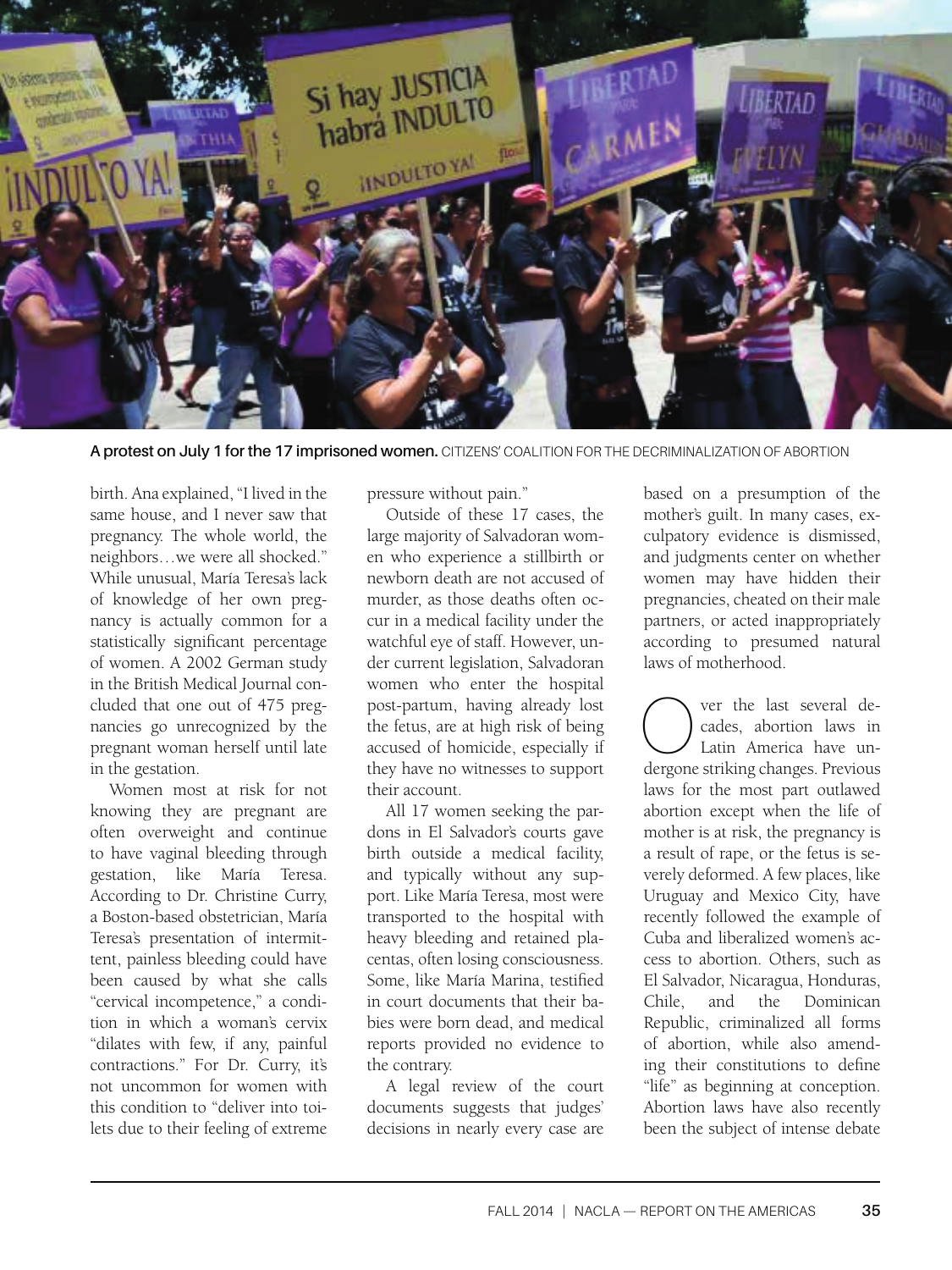

**A protest on July 1 for the 17 imprisoned women.** CITIZENS' coalition FOR THE DECRIMINALIZATION OF ABORTION

birth. Ana explained, "I lived in the same house, and I never saw that pregnancy. The whole world, the neighbors…we were all shocked." While unusual, María Teresa's lack of knowledge of her own pregnancy is actually common for a statistically significant percentage of women. A 2002 German study in the British Medical Journal concluded that one out of 475 pregnancies go unrecognized by the pregnant woman herself until late in the gestation.

Women most at risk for not knowing they are pregnant are often overweight and continue to have vaginal bleeding through gestation, like María Teresa. According to Dr. Christine Curry, a Boston-based obstetrician, María Teresa's presentation of intermittent, painless bleeding could have been caused by what she calls "cervical incompetence," a condition in which a woman's cervix "dilates with few, if any, painful contractions." For Dr. Curry, it's not uncommon for women with this condition to "deliver into toilets due to their feeling of extreme pressure without pain."

Outside of these 17 cases, the large majority of Salvadoran women who experience a stillbirth or newborn death are not accused of murder, as those deaths often occur in a medical facility under the watchful eye of staff. However, under current legislation, Salvadoran women who enter the hospital post-partum, having already lost the fetus, are at high risk of being accused of homicide, especially if they have no witnesses to support their account.

All 17 women seeking the pardons in El Salvador's courts gave birth outside a medical facility, and typically without any support. Like María Teresa, most were transported to the hospital with heavy bleeding and retained placentas, often losing consciousness. Some, like María Marina, testified in court documents that their babies were born dead, and medical reports provided no evidence to the contrary.

A legal review of the court documents suggests that judges' decisions in nearly every case are based on a presumption of the mother's guilt. In many cases, exculpatory evidence is dismissed, and judgments center on whether women may have hidden their pregnancies, cheated on their male partners, or acted inappropriately according to presumed natural laws of motherhood.

Over the last several de-<br>
cades, abortion laws in<br>
Latin America have uncades, abortion laws in dergone striking changes. Previous laws for the most part outlawed abortion except when the life of mother is at risk, the pregnancy is a result of rape, or the fetus is severely deformed. A few places, like Uruguay and Mexico City, have recently followed the example of Cuba and liberalized women's access to abortion. Others, such as El Salvador, Nicaragua, Honduras, Chile, and the Dominican Republic, criminalized all forms of abortion, while also amending their constitutions to define "life" as beginning at conception. Abortion laws have also recently been the subject of intense debate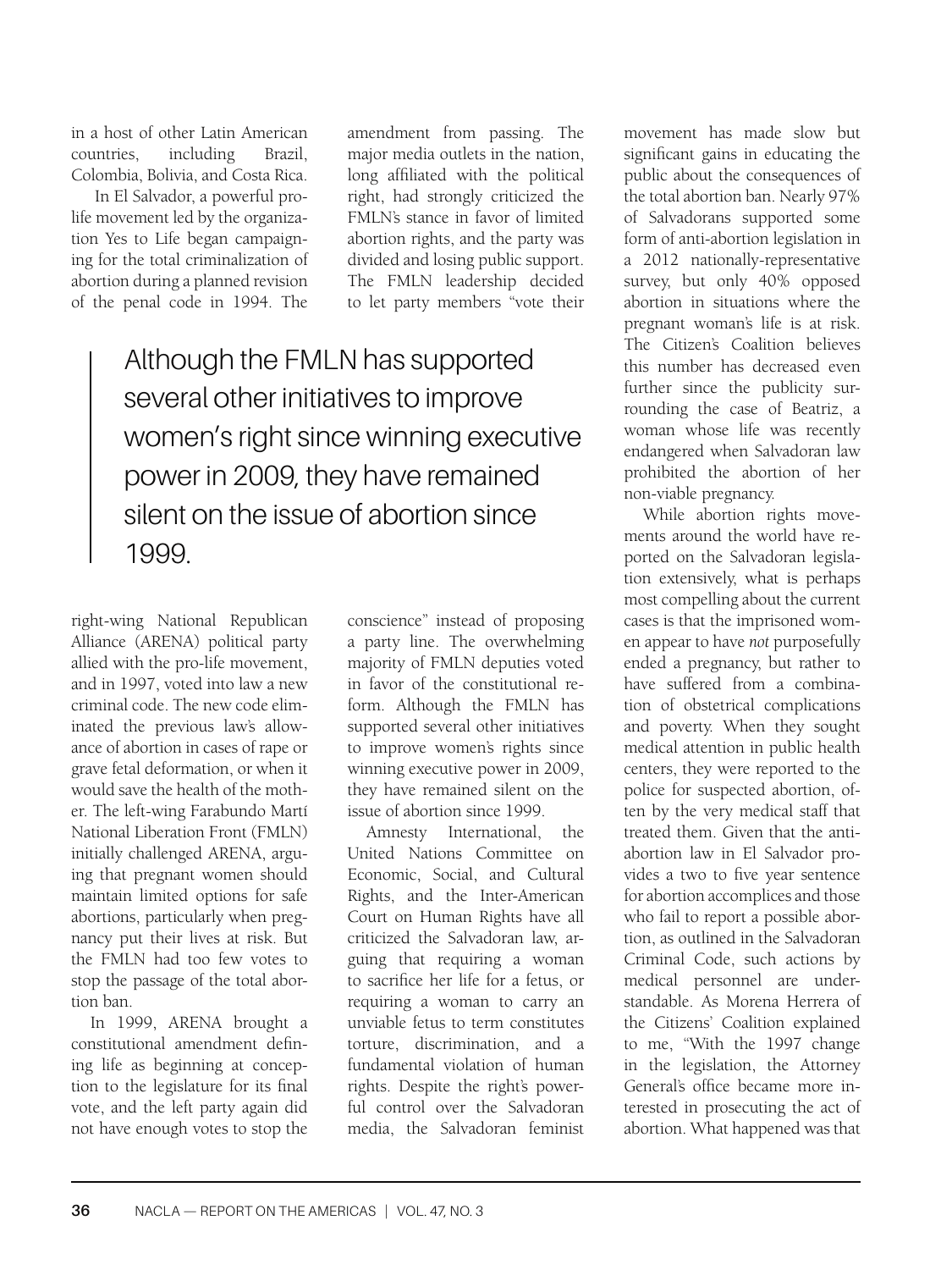in a host of other Latin American countries, including Brazil, Colombia, Bolivia, and Costa Rica.

In El Salvador, a powerful prolife movement led by the organization Yes to Life began campaigning for the total criminalization of abortion during a planned revision of the penal code in 1994. The

amendment from passing. The major media outlets in the nation, long affiliated with the political right, had strongly criticized the FMLN's stance in favor of limited abortion rights, and the party was divided and losing public support. The FMLN leadership decided to let party members "vote their

Although the FMLN has supported several other initiatives to improve women's right since winning executive power in 2009, they have remained silent on the issue of abortion since 1999.

right-wing National Republican Alliance (ARENA) political party allied with the pro-life movement, and in 1997, voted into law a new criminal code. The new code eliminated the previous law's allowance of abortion in cases of rape or grave fetal deformation, or when it would save the health of the mother. The left-wing Farabundo Martí National Liberation Front (FMLN) initially challenged ARENA, arguing that pregnant women should maintain limited options for safe abortions, particularly when pregnancy put their lives at risk. But the FMLN had too few votes to stop the passage of the total abortion ban.

In 1999, ARENA brought a constitutional amendment defining life as beginning at conception to the legislature for its final vote, and the left party again did not have enough votes to stop the

conscience" instead of proposing a party line. The overwhelming majority of FMLN deputies voted in favor of the constitutional reform. Although the FMLN has supported several other initiatives to improve women's rights since winning executive power in 2009, they have remained silent on the issue of abortion since 1999.

Amnesty International, the United Nations Committee on Economic, Social, and Cultural Rights, and the Inter-American Court on Human Rights have all criticized the Salvadoran law, arguing that requiring a woman to sacrifice her life for a fetus, or requiring a woman to carry an unviable fetus to term constitutes torture, discrimination, and a fundamental violation of human rights. Despite the right's powerful control over the Salvadoran media, the Salvadoran feminist

movement has made slow but significant gains in educating the public about the consequences of the total abortion ban. Nearly 97% of Salvadorans supported some form of anti-abortion legislation in a 2012 nationally-representative survey, but only 40% opposed abortion in situations where the pregnant woman's life is at risk. The Citizen's Coalition believes this number has decreased even further since the publicity surrounding the case of Beatriz, a woman whose life was recently endangered when Salvadoran law prohibited the abortion of her non-viable pregnancy.

While abortion rights movements around the world have reported on the Salvadoran legislation extensively, what is perhaps most compelling about the current cases is that the imprisoned women appear to have *not* purposefully ended a pregnancy, but rather to have suffered from a combination of obstetrical complications and poverty. When they sought medical attention in public health centers, they were reported to the police for suspected abortion, often by the very medical staff that treated them. Given that the antiabortion law in El Salvador provides a two to five year sentence for abortion accomplices and those who fail to report a possible abortion, as outlined in the Salvadoran Criminal Code, such actions by medical personnel are understandable. As Morena Herrera of the Citizens' Coalition explained to me, "With the 1997 change in the legislation, the Attorney General's office became more interested in prosecuting the act of abortion. What happened was that